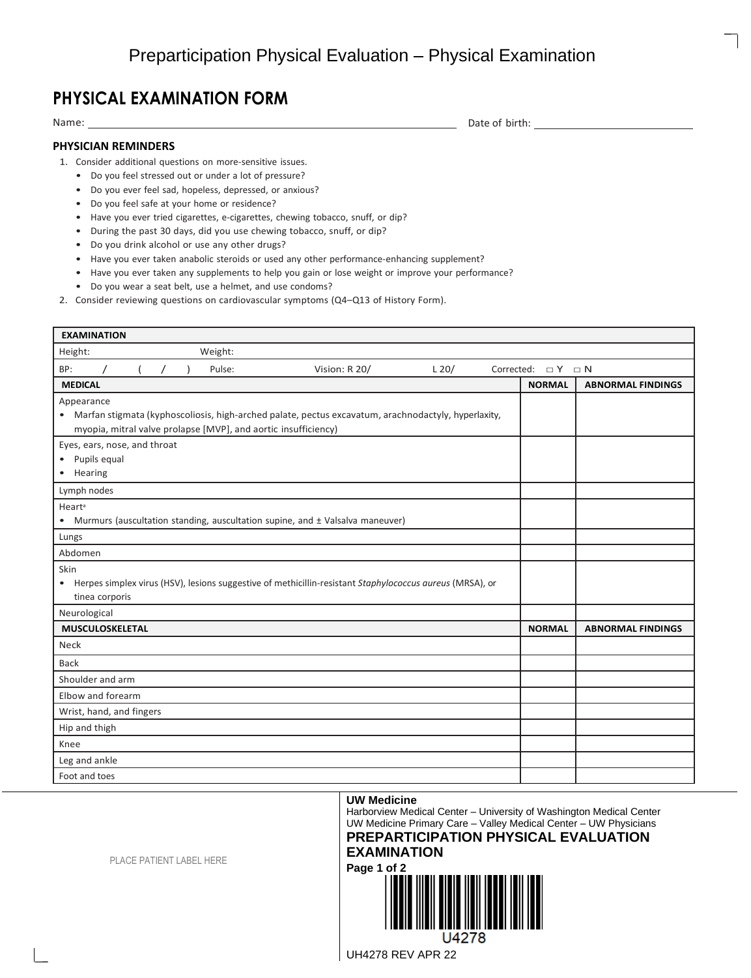## **PHYSICAL EXAMINATION FORM**

Name: \_\_

Date of birth:

## **PHYSICIAN REMINDERS**

- 1. Consider additional questions on more-sensitive issues.
	- Do you feel stressed out or under a lot of pressure?
	- Do you ever feel sad, hopeless, depressed, or anxious?
	- Do you feel safe at your home or residence?
	- Have you ever tried cigarettes, e-cigarettes, chewing tobacco, snuff, or dip?
	- During the past 30 days, did you use chewing tobacco, snuff, or dip?
	- Do you drink alcohol or use any other drugs?
	- Have you ever taken anabolic steroids or used any other performance-enhancing supplement?
	- Have you ever taken any supplements to help you gain or lose weight or improve your performance?
	- Do you wear a seat belt, use a helmet, and use condoms?
- 2. Consider reviewing questions on cardiovascular symptoms (Q4–Q13 of History Form).

| <b>EXAMINATION</b>                                                                                         |                            |                          |  |  |  |  |  |
|------------------------------------------------------------------------------------------------------------|----------------------------|--------------------------|--|--|--|--|--|
| Weight:<br>Height:                                                                                         |                            |                          |  |  |  |  |  |
| BP:<br>Pulse:<br>Vision: R 20/<br>$L$ 20/                                                                  | Corrected: $\Box Y \Box N$ |                          |  |  |  |  |  |
| <b>MEDICAL</b>                                                                                             | <b>NORMAL</b>              | <b>ABNORMAL FINDINGS</b> |  |  |  |  |  |
| Appearance                                                                                                 |                            |                          |  |  |  |  |  |
| • Marfan stigmata (kyphoscoliosis, high-arched palate, pectus excavatum, arachnodactyly, hyperlaxity,      |                            |                          |  |  |  |  |  |
| myopia, mitral valve prolapse [MVP], and aortic insufficiency)                                             |                            |                          |  |  |  |  |  |
| Eyes, ears, nose, and throat                                                                               |                            |                          |  |  |  |  |  |
| • Pupils equal<br>• Hearing                                                                                |                            |                          |  |  |  |  |  |
|                                                                                                            |                            |                          |  |  |  |  |  |
| Lymph nodes                                                                                                |                            |                          |  |  |  |  |  |
| Heart <sup>a</sup><br>• Murmurs (auscultation standing, auscultation supine, and ± Valsalva maneuver)      |                            |                          |  |  |  |  |  |
| Lungs                                                                                                      |                            |                          |  |  |  |  |  |
| Abdomen                                                                                                    |                            |                          |  |  |  |  |  |
| Skin                                                                                                       |                            |                          |  |  |  |  |  |
| • Herpes simplex virus (HSV), lesions suggestive of methicillin-resistant Staphylococcus aureus (MRSA), or |                            |                          |  |  |  |  |  |
| tinea corporis                                                                                             |                            |                          |  |  |  |  |  |
| Neurological                                                                                               |                            |                          |  |  |  |  |  |
| MUSCULOSKELETAL                                                                                            | <b>NORMAL</b>              | <b>ABNORMAL FINDINGS</b> |  |  |  |  |  |
| <b>Neck</b>                                                                                                |                            |                          |  |  |  |  |  |
| <b>Back</b>                                                                                                |                            |                          |  |  |  |  |  |
| Shoulder and arm                                                                                           |                            |                          |  |  |  |  |  |
| Elbow and forearm                                                                                          |                            |                          |  |  |  |  |  |
| Wrist, hand, and fingers                                                                                   |                            |                          |  |  |  |  |  |
| Hip and thigh                                                                                              |                            |                          |  |  |  |  |  |
| Knee                                                                                                       |                            |                          |  |  |  |  |  |
| Leg and ankle                                                                                              |                            |                          |  |  |  |  |  |
| Foot and toes                                                                                              |                            |                          |  |  |  |  |  |

## **UW Medicine**

Harborview Medical Center – University of Washington Medical Center UW Medicine Primary Care – Valley Medical Center – UW Physicians **PREPARTICIPATION PHYSICAL EVALUATION** 

## **EXAMINATION Page 1 of 2**



J4278

PLACE PATIENT LABEL HERE

UH4278 REV APR 22